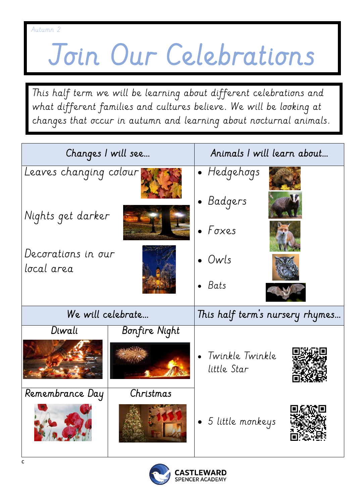## Join Our Celebrations

This half term we will be learning about different celebrations and what different families and cultures believe. We will be looking at changes that occur in autumn and learning about nocturnal animals.

| Changes I will see               |               | Animals I will learn about      |  |
|----------------------------------|---------------|---------------------------------|--|
| Leaves changing colour           |               | · Hedgehogs<br>• Badgers        |  |
| Nights get darker                |               | $\bullet$ Foxes                 |  |
| Decorations in our<br>local area |               | $\bullet$ Owls                  |  |
|                                  |               | $\bullet$ Bats                  |  |
| We will celebrate                |               | This half term's nursery rhymes |  |
| Diwali                           | Bonfire Night |                                 |  |
|                                  |               | Twinkle Twinkle<br>little Star  |  |
| Remembrance Day                  | Christmas     |                                 |  |
|                                  |               | 5 little monkeys                |  |